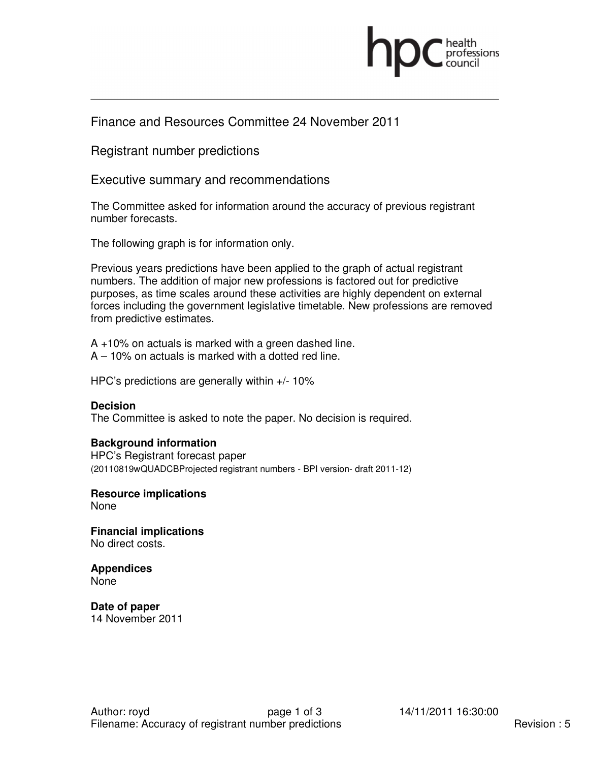

## Finance and Resources Committee 24 November 2011

Registrant number predictions

Executive summary and recommendations

The Committee asked for information around the accuracy of previous registrant number forecasts.

The following graph is for information only.

Previous years predictions have been applied to the graph of actual registrant numbers. The addition of major new professions is factored out for predictive purposes, as time scales around these activities are highly dependent on external forces including the government legislative timetable. New professions are removed from predictive estimates.

A +10% on actuals is marked with a green dashed line. A – 10% on actuals is marked with a dotted red line.

HPC's predictions are generally within +/- 10%

## **Decision**

The Committee is asked to note the paper. No decision is required.

## **Background information**

HPC's Registrant forecast paper (20110819wQUADCBProjected registrant numbers - BPI version- draft 2011-12)

**Resource implications**  None

**Financial implications**  No direct costs.

**Appendices**  None

**Date of paper**  14 November 2011